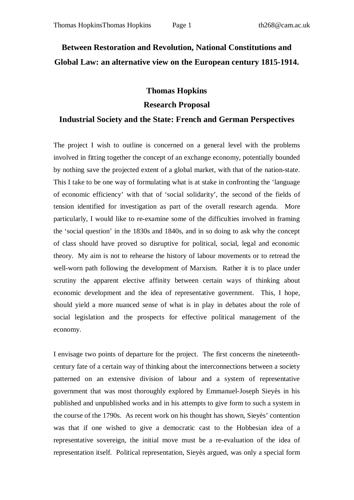## **Between Restoration and Revolution, National Constitutions and Global Law: an alternative view on the European century 1815-1914.**

## **Thomas Hopkins Research Proposal**

## **Industrial Society and the State: French and German Perspectives**

The project I wish to outline is concerned on a general level with the problems involved in fitting together the concept of an exchange economy, potentially bounded by nothing save the projected extent of a global market, with that of the nation-state. This I take to be one way of formulating what is at stake in confronting the 'language of economic efficiency' with that of 'social solidarity', the second of the fields of tension identified for investigation as part of the overall research agenda. More particularly, I would like to re-examine some of the difficulties involved in framing the 'social question' in the 1830s and 1840s, and in so doing to ask why the concept of class should have proved so disruptive for political, social, legal and economic theory. My aim is not to rehearse the history of labour movements or to retread the well-worn path following the development of Marxism. Rather it is to place under scrutiny the apparent elective affinity between certain ways of thinking about economic development and the idea of representative government. This, I hope, should yield a more nuanced sense of what is in play in debates about the role of social legislation and the prospects for effective political management of the economy.

I envisage two points of departure for the project. The first concerns the nineteenthcentury fate of a certain way of thinking about the interconnections between a society patterned on an extensive division of labour and a system of representative government that was most thoroughly explored by Emmanuel-Joseph Sieyès in his published and unpublished works and in his attempts to give form to such a system in the course of the 1790s. As recent work on his thought has shown, Sieyès' contention was that if one wished to give a democratic cast to the Hobbesian idea of a representative sovereign, the initial move must be a re-evaluation of the idea of representation itself. Political representation, Sieyès argued, was only a special form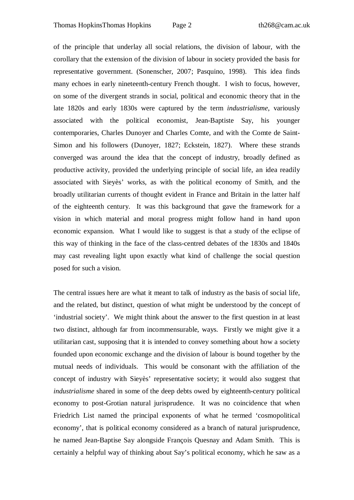of the principle that underlay all social relations, the division of labour, with the corollary that the extension of the division of labour in society provided the basis for representative government. (Sonenscher, 2007; Pasquino, 1998). This idea finds many echoes in early nineteenth-century French thought. I wish to focus, however, on some of the divergent strands in social, political and economic theory that in the late 1820s and early 1830s were captured by the term *industrialisme*, variously associated with the political economist, Jean-Baptiste Say, his younger contemporaries, Charles Dunoyer and Charles Comte, and with the Comte de Saint-Simon and his followers (Dunoyer, 1827; Eckstein, 1827). Where these strands converged was around the idea that the concept of industry, broadly defined as productive activity, provided the underlying principle of social life, an idea readily associated with Sieyès' works, as with the political economy of Smith, and the broadly utilitarian currents of thought evident in France and Britain in the latter half of the eighteenth century. It was this background that gave the framework for a vision in which material and moral progress might follow hand in hand upon economic expansion. What I would like to suggest is that a study of the eclipse of this way of thinking in the face of the class-centred debates of the 1830s and 1840s may cast revealing light upon exactly what kind of challenge the social question posed for such a vision.

The central issues here are what it meant to talk of industry as the basis of social life, and the related, but distinct, question of what might be understood by the concept of 'industrial society'. We might think about the answer to the first question in at least two distinct, although far from incommensurable, ways. Firstly we might give it a utilitarian cast, supposing that it is intended to convey something about how a society founded upon economic exchange and the division of labour is bound together by the mutual needs of individuals. This would be consonant with the affiliation of the concept of industry with Sieyès' representative society; it would also suggest that *industrialisme* shared in some of the deep debts owed by eighteenth-century political economy to post-Grotian natural jurisprudence. It was no coincidence that when Friedrich List named the principal exponents of what he termed 'cosmopolitical economy', that is political economy considered as a branch of natural jurisprudence, he named Jean-Baptise Say alongside François Quesnay and Adam Smith. This is certainly a helpful way of thinking about Say's political economy, which he saw as a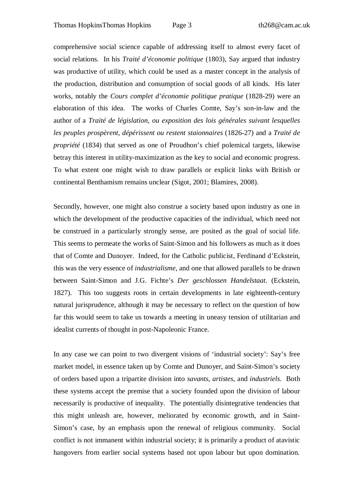comprehensive social science capable of addressing itself to almost every facet of social relations. In his *Traité d'économie politique* (1803), Say argued that industry was productive of utility, which could be used as a master concept in the analysis of the production, distribution and consumption of social goods of all kinds. His later works, notably the *Cours complet d'économie politique pratique* (1828-29) were an elaboration of this idea. The works of Charles Comte, Say's son-in-law and the author of a *Traité de législation, ou exposition des lois générales suivant lesquelles les peuples prospèrent, dépérissent ou restent staionnaires* (1826-27) and a *Traité de propriété* (1834) that served as one of Proudhon's chief polemical targets, likewise betray this interest in utility-maximization as the key to social and economic progress. To what extent one might wish to draw parallels or explicit links with British or continental Benthamism remains unclear (Sigot, 2001; Blamires, 2008).

Secondly, however, one might also construe a society based upon industry as one in which the development of the productive capacities of the individual, which need not be construed in a particularly strongly sense, are posited as the goal of social life. This seems to permeate the works of Saint-Simon and his followers as much as it does that of Comte and Dunoyer. Indeed, for the Catholic publicist, Ferdinand d'Eckstein, this was the very essence of *industrialisme*, and one that allowed parallels to be drawn between Saint-Simon and J.G. Fichte's *Der geschlossen Handelstaat*. (Eckstein, 1827). This too suggests roots in certain developments in late eighteenth-century natural jurisprudence, although it may be necessary to reflect on the question of how far this would seem to take us towards a meeting in uneasy tension of utilitarian and idealist currents of thought in post-Napoleonic France.

In any case we can point to two divergent visions of 'industrial society': Say's free market model, in essence taken up by Comte and Dunoyer, and Saint-Simon's society of orders based upon a tripartite division into *savants*, *artistes*, and *industriels*. Both these systems accept the premise that a society founded upon the division of labour necessarily is productive of inequality. The potentially disintegrative tendencies that this might unleash are, however, meliorated by economic growth, and in Saint-Simon's case, by an emphasis upon the renewal of religious community. Social conflict is not immanent within industrial society; it is primarily a product of atavistic hangovers from earlier social systems based not upon labour but upon domination.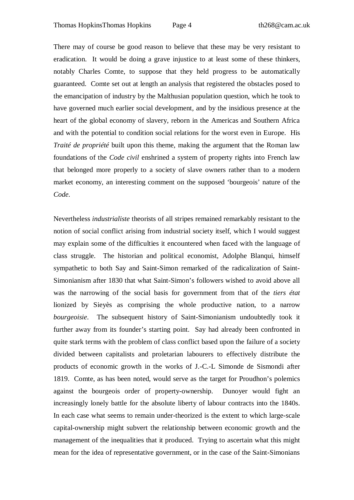There may of course be good reason to believe that these may be very resistant to eradication. It would be doing a grave injustice to at least some of these thinkers, notably Charles Comte, to suppose that they held progress to be automatically guaranteed. Comte set out at length an analysis that registered the obstacles posed to the emancipation of industry by the Malthusian population question, which he took to have governed much earlier social development, and by the insidious presence at the heart of the global economy of slavery, reborn in the Americas and Southern Africa and with the potential to condition social relations for the worst even in Europe. His *Traité de propriété* built upon this theme, making the argument that the Roman law foundations of the *Code civil* enshrined a system of property rights into French law that belonged more properly to a society of slave owners rather than to a modern market economy, an interesting comment on the supposed 'bourgeois' nature of the *Code*.

Nevertheless *industrialiste* theorists of all stripes remained remarkably resistant to the notion of social conflict arising from industrial society itself, which I would suggest may explain some of the difficulties it encountered when faced with the language of class struggle. The historian and political economist, Adolphe Blanqui, himself sympathetic to both Say and Saint-Simon remarked of the radicalization of Saint-Simonianism after 1830 that what Saint-Simon's followers wished to avoid above all was the narrowing of the social basis for government from that of the *tiers état* lionized by Sieyès as comprising the whole productive nation, to a narrow *bourgeoisie*. The subsequent history of Saint-Simonianism undoubtedly took it further away from its founder's starting point. Say had already been confronted in quite stark terms with the problem of class conflict based upon the failure of a society divided between capitalists and proletarian labourers to effectively distribute the products of economic growth in the works of J.-C.-L Simonde de Sismondi after 1819. Comte, as has been noted, would serve as the target for Proudhon's polemics against the bourgeois order of property-ownership. Dunoyer would fight an increasingly lonely battle for the absolute liberty of labour contracts into the 1840s. In each case what seems to remain under-theorized is the extent to which large-scale capital-ownership might subvert the relationship between economic growth and the management of the inequalities that it produced. Trying to ascertain what this might mean for the idea of representative government, or in the case of the Saint-Simonians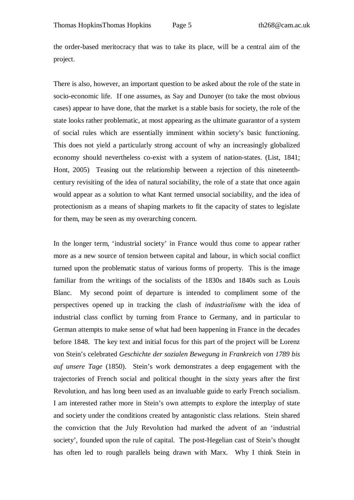the order-based meritocracy that was to take its place, will be a central aim of the project.

There is also, however, an important question to be asked about the role of the state in socio-economic life. If one assumes, as Say and Dunoyer (to take the most obvious cases) appear to have done, that the market is a stable basis for society, the role of the state looks rather problematic, at most appearing as the ultimate guarantor of a system of social rules which are essentially imminent within society's basic functioning. This does not yield a particularly strong account of why an increasingly globalized economy should nevertheless co-exist with a system of nation-states. (List, 1841; Hont, 2005) Teasing out the relationship between a rejection of this nineteenthcentury revisiting of the idea of natural sociability, the role of a state that once again would appear as a solution to what Kant termed unsocial sociability, and the idea of protectionism as a means of shaping markets to fit the capacity of states to legislate for them, may be seen as my overarching concern.

In the longer term, 'industrial society' in France would thus come to appear rather more as a new source of tension between capital and labour, in which social conflict turned upon the problematic status of various forms of property. This is the image familiar from the writings of the socialists of the 1830s and 1840s such as Louis Blanc. My second point of departure is intended to compliment some of the perspectives opened up in tracking the clash of *industrialisme* with the idea of industrial class conflict by turning from France to Germany, and in particular to German attempts to make sense of what had been happening in France in the decades before 1848. The key text and initial focus for this part of the project will be Lorenz von Stein's celebrated *Geschichte der sozialen Bewegung in Frankreich von 1789 bis auf unsere Tage* (1850). Stein's work demonstrates a deep engagement with the trajectories of French social and political thought in the sixty years after the first Revolution, and has long been used as an invaluable guide to early French socialism. I am interested rather more in Stein's own attempts to explore the interplay of state and society under the conditions created by antagonistic class relations. Stein shared the conviction that the July Revolution had marked the advent of an 'industrial society', founded upon the rule of capital. The post-Hegelian cast of Stein's thought has often led to rough parallels being drawn with Marx. Why I think Stein in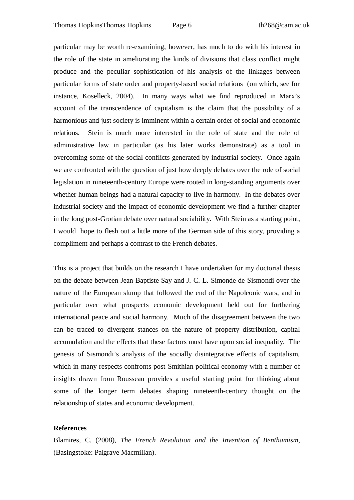particular may be worth re-examining, however, has much to do with his interest in the role of the state in ameliorating the kinds of divisions that class conflict might produce and the peculiar sophistication of his analysis of the linkages between particular forms of state order and property-based social relations (on which, see for instance, Koselleck, 2004). In many ways what we find reproduced in Marx's account of the transcendence of capitalism is the claim that the possibility of a harmonious and just society is imminent within a certain order of social and economic relations. Stein is much more interested in the role of state and the role of administrative law in particular (as his later works demonstrate) as a tool in overcoming some of the social conflicts generated by industrial society. Once again we are confronted with the question of just how deeply debates over the role of social legislation in nineteenth-century Europe were rooted in long-standing arguments over whether human beings had a natural capacity to live in harmony. In the debates over industrial society and the impact of economic development we find a further chapter in the long post-Grotian debate over natural sociability. With Stein as a starting point, I would hope to flesh out a little more of the German side of this story, providing a compliment and perhaps a contrast to the French debates.

This is a project that builds on the research I have undertaken for my doctorial thesis on the debate between Jean-Baptiste Say and J.-C.-L. Simonde de Sismondi over the nature of the European slump that followed the end of the Napoleonic wars, and in particular over what prospects economic development held out for furthering international peace and social harmony. Much of the disagreement between the two can be traced to divergent stances on the nature of property distribution, capital accumulation and the effects that these factors must have upon social inequality. The genesis of Sismondi's analysis of the socially disintegrative effects of capitalism, which in many respects confronts post-Smithian political economy with a number of insights drawn from Rousseau provides a useful starting point for thinking about some of the longer term debates shaping nineteenth-century thought on the relationship of states and economic development.

## **References**

Blamires, C. (2008), *The French Revolution and the Invention of Benthamism*, (Basingstoke: Palgrave Macmillan).